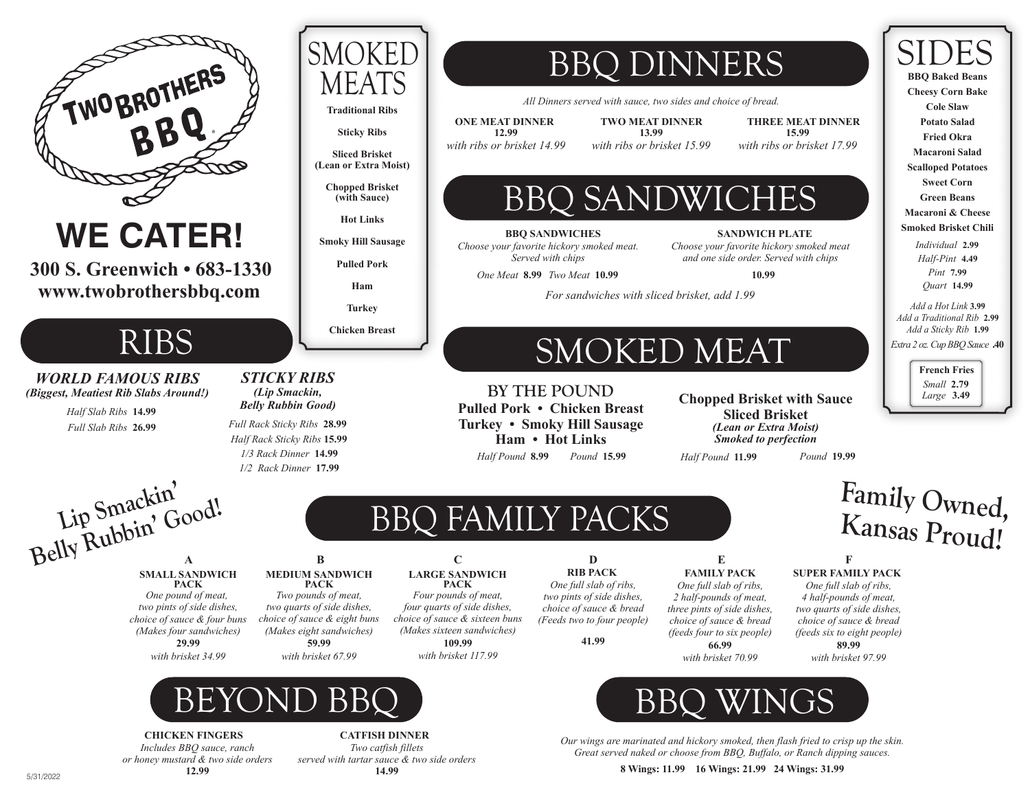

**CHICKEN FINGERS**

*Includes BBQ sauce, ranch or honey mustard & two side orders* **12.99**

**CATFISH DINNER** *Two catfish fillets served with tartar sauce & two side orders* **14.99**

**8 Wings: 11.99 16 Wings: 21.99 24 Wings: 31.99**

*Our wings are marinated and hickory smoked, then flash fried to crisp up the skin. Great served naked or choose from BBQ, Buffalo, or Ranch dipping sauces.*